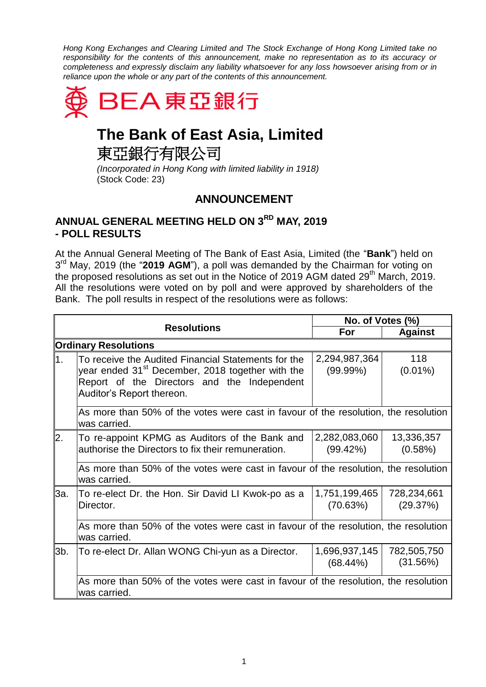*Hong Kong Exchanges and Clearing Limited and The Stock Exchange of Hong Kong Limited take no responsibility for the contents of this announcement, make no representation as to its accuracy or completeness and expressly disclaim any liability whatsoever for any loss howsoever arising from or in reliance upon the whole or any part of the contents of this announcement.*



## **The Bank of East Asia, Limited**

東亞銀行有限公司

*(Incorporated in Hong Kong with limited liability in 1918)* (Stock Code: 23)

## **ANNOUNCEMENT**

## **ANNUAL GENERAL MEETING HELD ON 3 RD MAY, 2019 - POLL RESULTS**

At the Annual General Meeting of The Bank of East Asia, Limited (the "**Bank**") held on 3<sup>rd</sup> May, 2019 (the "2019 AGM"), a poll was demanded by the Chairman for voting on the proposed resolutions as set out in the Notice of 2019 AGM dated  $29<sup>th</sup>$  March, 2019. All the resolutions were voted on by poll and were approved by shareholders of the Bank. The poll results in respect of the resolutions were as follows:

|                             |                                                                                                                                                                                                 | No. of Votes (%)             |                         |  |
|-----------------------------|-------------------------------------------------------------------------------------------------------------------------------------------------------------------------------------------------|------------------------------|-------------------------|--|
|                             | <b>Resolutions</b>                                                                                                                                                                              | For                          | <b>Against</b>          |  |
| <b>Ordinary Resolutions</b> |                                                                                                                                                                                                 |                              |                         |  |
| 1.                          | To receive the Audited Financial Statements for the<br>year ended 31 <sup>st</sup> December, 2018 together with the<br>Report of the Directors and the Independent<br>Auditor's Report thereon. | 2,294,987,364<br>(99.99%)    | 118<br>$(0.01\%)$       |  |
|                             | As more than 50% of the votes were cast in favour of the resolution, the resolution<br>was carried.                                                                                             |                              |                         |  |
| 2.                          | To re-appoint KPMG as Auditors of the Bank and<br>authorise the Directors to fix their remuneration.                                                                                            | 2,282,083,060<br>(99.42%)    | 13,336,357<br>(0.58%)   |  |
|                             | As more than 50% of the votes were cast in favour of the resolution, the resolution<br>was carried.                                                                                             |                              |                         |  |
| 3a.                         | To re-elect Dr. the Hon. Sir David LI Kwok-po as a<br>Director.                                                                                                                                 | 1,751,199,465<br>(70.63%)    | 728,234,661<br>(29.37%) |  |
|                             | As more than 50% of the votes were cast in favour of the resolution, the resolution<br>was carried.                                                                                             |                              |                         |  |
| $3b$ .                      | To re-elect Dr. Allan WONG Chi-yun as a Director.                                                                                                                                               | 1,696,937,145<br>$(68.44\%)$ | 782,505,750<br>(31.56%) |  |
|                             | As more than 50% of the votes were cast in favour of the resolution, the resolution<br>was carried.                                                                                             |                              |                         |  |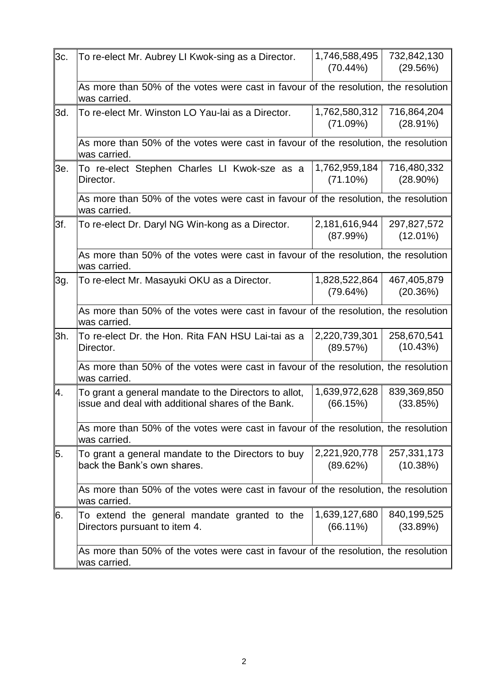| 3c. | To re-elect Mr. Aubrey LI Kwok-sing as a Director.                                                          | 1,746,588,495<br>$(70.44\%)$ | 732,842,130<br>(29.56%)    |  |  |
|-----|-------------------------------------------------------------------------------------------------------------|------------------------------|----------------------------|--|--|
|     | As more than 50% of the votes were cast in favour of the resolution, the resolution<br>was carried.         |                              |                            |  |  |
| 3d. | To re-elect Mr. Winston LO Yau-lai as a Director.                                                           | 1,762,580,312<br>(71.09%)    | 716,864,204<br>$(28.91\%)$ |  |  |
|     | As more than 50% of the votes were cast in favour of the resolution, the resolution<br>was carried.         |                              |                            |  |  |
| 3e. | To re-elect Stephen Charles LI Kwok-sze as a<br>Director.                                                   | 1,762,959,184<br>(71.10%)    | 716,480,332<br>$(28.90\%)$ |  |  |
|     | As more than 50% of the votes were cast in favour of the resolution, the resolution<br>was carried.         |                              |                            |  |  |
| 3f. | To re-elect Dr. Daryl NG Win-kong as a Director.                                                            | 2,181,616,944<br>(87.99%)    | 297,827,572<br>$(12.01\%)$ |  |  |
|     | As more than 50% of the votes were cast in favour of the resolution, the resolution<br>was carried.         |                              |                            |  |  |
| 3g. | To re-elect Mr. Masayuki OKU as a Director.                                                                 | 1,828,522,864<br>(79.64%)    | 467,405,879<br>(20.36%)    |  |  |
|     | As more than 50% of the votes were cast in favour of the resolution, the resolution<br>was carried.         |                              |                            |  |  |
| 3h. | To re-elect Dr. the Hon. Rita FAN HSU Lai-tai as a<br>Director.                                             | 2,220,739,301<br>(89.57%)    | 258,670,541<br>(10.43%)    |  |  |
|     | As more than 50% of the votes were cast in favour of the resolution, the resolution<br>was carried.         |                              |                            |  |  |
| Ι4. | To grant a general mandate to the Directors to allot,<br>issue and deal with additional shares of the Bank. | 1,639,972,628<br>(66.15%)    | 839,369,850<br>(33.85%)    |  |  |
|     | As more than 50% of the votes were cast in favour of the resolution, the resolution<br>was carried.         |                              |                            |  |  |
| 15. | To grant a general mandate to the Directors to buy<br>back the Bank's own shares.                           | 2,221,920,778<br>(89.62%)    | 257,331,173<br>(10.38%)    |  |  |
|     | As more than 50% of the votes were cast in favour of the resolution, the resolution<br>was carried.         |                              |                            |  |  |
| 6.  | To extend the general mandate granted to the<br>Directors pursuant to item 4.                               | 1,639,127,680<br>$(66.11\%)$ | 840,199,525<br>(33.89%)    |  |  |
|     | As more than 50% of the votes were cast in favour of the resolution, the resolution<br>was carried.         |                              |                            |  |  |